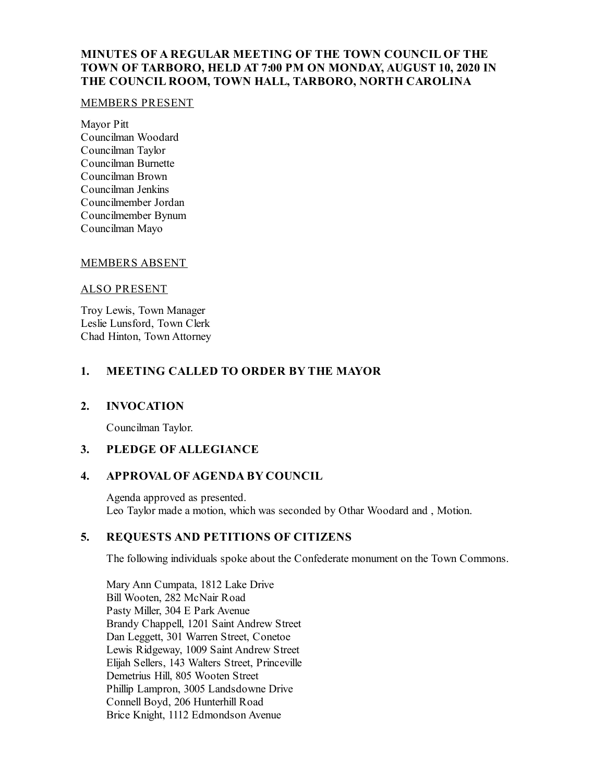## **MINUTES OF A REGULAR MEETING OF THE TOWN COUNCIL OF THE TOWN OF TARBORO, HELD AT 7:00 PM ON MONDAY, AUGUST 10, 2020 IN THE COUNCIL ROOM, TOWN HALL, TARBORO, NORTH CAROLINA**

#### MEMBERS PRESENT

Mayor Pitt Councilman Woodard Councilman Taylor Councilman Burnette Councilman Brown Councilman Jenkins Councilmember Jordan Councilmember Bynum Councilman Mayo

### MEMBERS ABSENT

#### ALSO PRESENT

Troy Lewis, Town Manager Leslie Lunsford, Town Clerk Chad Hinton, Town Attorney

## **1. MEETING CALLED TO ORDER BY THE MAYOR**

#### **2. INVOCATION**

Councilman Taylor.

## **3. PLEDGE OF ALLEGIANCE**

### **4. APPROVAL OF AGENDA BY COUNCIL**

Agenda approved as presented. Leo Taylor made a motion, which was seconded by Othar Woodard and , Motion.

## **5. REQUESTS AND PETITIONS OF CITIZENS**

The following individuals spoke about the Confederate monument on the Town Commons.

Mary Ann Cumpata, 1812 Lake Drive Bill Wooten, 282 McNair Road Pasty Miller, 304 E Park Avenue Brandy Chappell, 1201 Saint Andrew Street Dan Leggett, 301 Warren Street, Conetoe Lewis Ridgeway, 1009 Saint Andrew Street Elijah Sellers, 143 Walters Street, Princeville Demetrius Hill, 805 Wooten Street Phillip Lampron, 3005 Landsdowne Drive Connell Boyd, 206 Hunterhill Road Brice Knight, 1112 Edmondson Avenue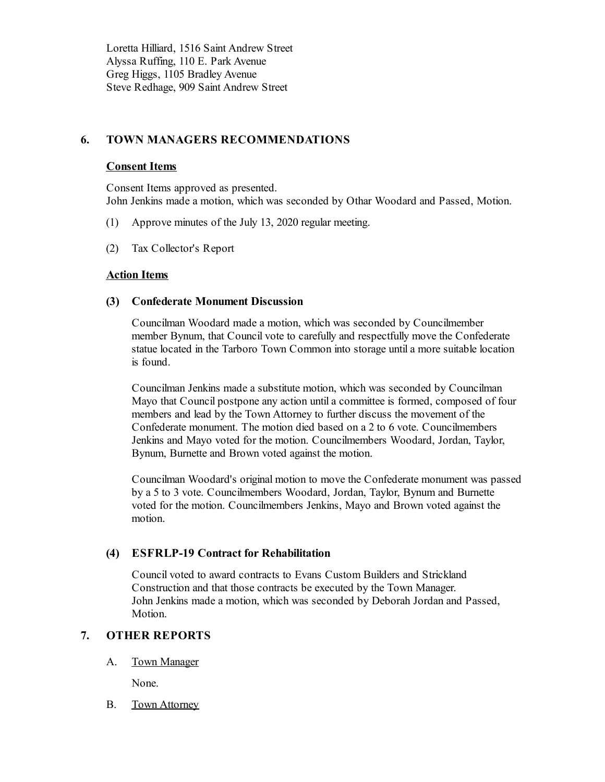Loretta Hilliard, 1516 Saint Andrew Street Alyssa Ruffing, 110 E. Park Avenue Greg Higgs, 1105 Bradley Avenue Steve Redhage, 909 Saint Andrew Street

## **6. TOWN MANAGERS RECOMMENDATIONS**

### **Consent Items**

Consent Items approved as presented. John Jenkins made a motion, which was seconded by Othar Woodard and Passed, Motion.

- (1) Approve minutes of the July 13, 2020 regular meeting.
- (2) Tax Collector's Report

## **Action Items**

### **(3) Confederate Monument Discussion**

Councilman Woodard made a motion, which was seconded by Councilmember member Bynum, that Council vote to carefully and respectfully move the Confederate statue located in the Tarboro Town Common into storage untila more suitable location is found.

Councilman Jenkins made a substitute motion, which was seconded by Councilman Mayo that Council postpone any action untila committee is formed, composed of four members and lead by the Town Attorney to further discuss the movement of the Confederate monument. The motion died based on a 2 to 6 vote. Councilmembers Jenkins and Mayo voted for the motion. Councilmembers Woodard, Jordan, Taylor, Bynum, Burnette and Brown voted against the motion.

Councilman Woodard's original motion to move the Confederate monument was passed by a 5 to 3 vote. Councilmembers Woodard, Jordan, Taylor, Bynum and Burnette voted for the motion. Councilmembers Jenkins, Mayo and Brown voted against the motion.

## **(4) ESFRLP-19 Contract for Rehabilitation**

Council voted to award contracts to Evans Custom Builders and Strickland Construction and that those contracts be executed by the Town Manager. John Jenkins made a motion, which was seconded by Deborah Jordan and Passed, Motion.

## **7. OTHER REPORTS**

A. Town Manager

None.

B. Town Attorney